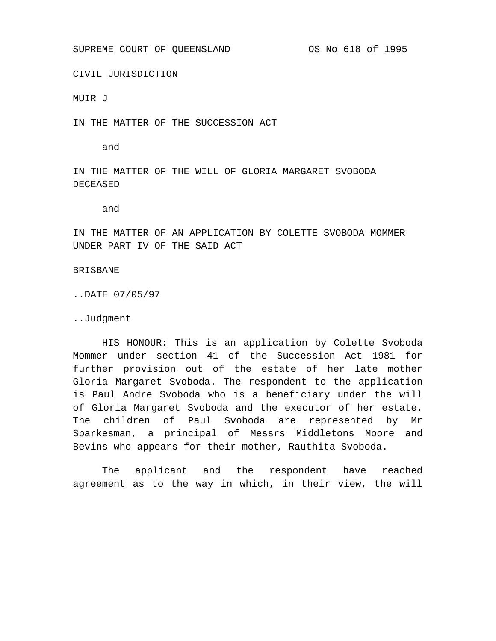SUPREME COURT OF QUEENSLAND **OS No 618 of 1995** 

CIVIL JURISDICTION

MUIR J

IN THE MATTER OF THE SUCCESSION ACT

and

IN THE MATTER OF THE WILL OF GLORIA MARGARET SVOBODA DECEASED

and

IN THE MATTER OF AN APPLICATION BY COLETTE SVOBODA MOMMER UNDER PART IV OF THE SAID ACT

BRISBANE

..DATE 07/05/97

..Judgment

HIS HONOUR: This is an application by Colette Svoboda Mommer under section 41 of the Succession Act 1981 for further provision out of the estate of her late mother Gloria Margaret Svoboda. The respondent to the application is Paul Andre Svoboda who is a beneficiary under the will of Gloria Margaret Svoboda and the executor of her estate. The children of Paul Svoboda are represented by Mr Sparkesman, a principal of Messrs Middletons Moore and Bevins who appears for their mother, Rauthita Svoboda.

The applicant and the respondent have reached agreement as to the way in which, in their view, the will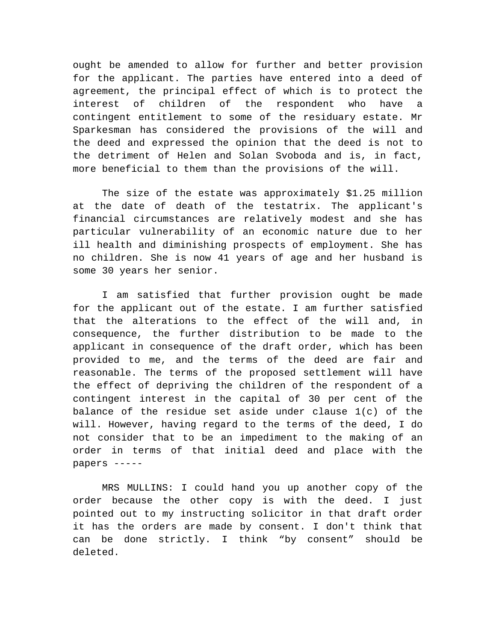ought be amended to allow for further and better provision for the applicant. The parties have entered into a deed of agreement, the principal effect of which is to protect the interest of children of the respondent who have a contingent entitlement to some of the residuary estate. Mr Sparkesman has considered the provisions of the will and the deed and expressed the opinion that the deed is not to the detriment of Helen and Solan Svoboda and is, in fact, more beneficial to them than the provisions of the will.

The size of the estate was approximately \$1.25 million at the date of death of the testatrix. The applicant's financial circumstances are relatively modest and she has particular vulnerability of an economic nature due to her ill health and diminishing prospects of employment. She has no children. She is now 41 years of age and her husband is some 30 years her senior.

I am satisfied that further provision ought be made for the applicant out of the estate. I am further satisfied that the alterations to the effect of the will and, in consequence, the further distribution to be made to the applicant in consequence of the draft order, which has been provided to me, and the terms of the deed are fair and reasonable. The terms of the proposed settlement will have the effect of depriving the children of the respondent of a contingent interest in the capital of 30 per cent of the balance of the residue set aside under clause 1(c) of the will. However, having regard to the terms of the deed, I do not consider that to be an impediment to the making of an order in terms of that initial deed and place with the papers -----

MRS MULLINS: I could hand you up another copy of the order because the other copy is with the deed. I just pointed out to my instructing solicitor in that draft order it has the orders are made by consent. I don't think that can be done strictly. I think "by consent" should be deleted.